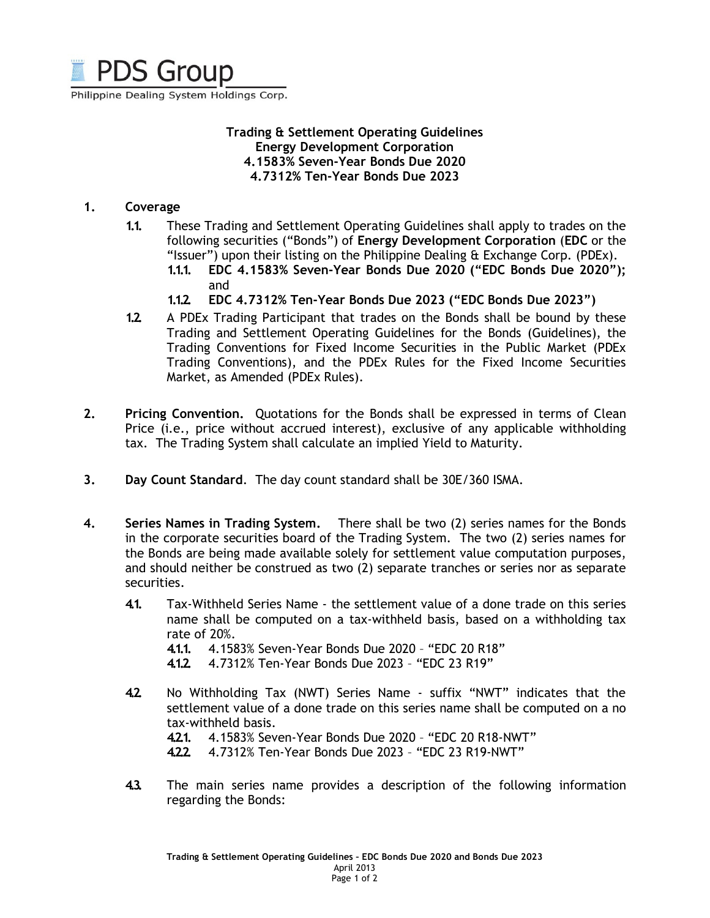

Philippine Dealing System Holdings Corp.

#### **Trading & Settlement Operating Guidelines Energy Development Corporation 4.1583% Seven-Year Bonds Due 2020 4.7312% Ten-Year Bonds Due 2023**

#### **1. Coverage**

- **1.1.** These Trading and Settlement Operating Guidelines shall apply to trades on the following securities ("Bonds") of **Energy Development Corporation** (**EDC** or the "Issuer") upon their listing on the Philippine Dealing & Exchange Corp. (PDEx).
	- **1.1.1. EDC 4.1583% Seven-Year Bonds Due 2020 ("EDC Bonds Due 2020");**  and
	- **1.1.2. EDC 4.7312% Ten-Year Bonds Due 2023 ("EDC Bonds Due 2023")**
- **1.2.** A PDEx Trading Participant that trades on the Bonds shall be bound by these Trading and Settlement Operating Guidelines for the Bonds (Guidelines), the Trading Conventions for Fixed Income Securities in the Public Market (PDEx Trading Conventions), and the PDEx Rules for the Fixed Income Securities Market, as Amended (PDEx Rules).
- **2. Pricing Convention.** Quotations for the Bonds shall be expressed in terms of Clean Price (i.e., price without accrued interest), exclusive of any applicable withholding tax. The Trading System shall calculate an implied Yield to Maturity.
- **3. Day Count Standard**. The day count standard shall be 30E/360 ISMA.
- **4. Series Names in Trading System.** There shall be two (2) series names for the Bonds in the corporate securities board of the Trading System. The two (2) series names for the Bonds are being made available solely for settlement value computation purposes, and should neither be construed as two (2) separate tranches or series nor as separate securities.
	- **4.1.** Tax-Withheld Series Name the settlement value of a done trade on this series name shall be computed on a tax-withheld basis, based on a withholding tax rate of 20%.
		- **4.1.1.** 4.1583% Seven-Year Bonds Due 2020 "EDC 20 R18"
		- **4.1.2.** 4.7312% Ten-Year Bonds Due 2023 "EDC 23 R19"
	- **4.2.** No Withholding Tax (NWT) Series Name suffix "NWT" indicates that the settlement value of a done trade on this series name shall be computed on a no tax-withheld basis.
		- **4.2.1.** 4.1583% Seven-Year Bonds Due 2020 "EDC 20 R18-NWT"
		- **4.2.2.** 4.7312% Ten-Year Bonds Due 2023 "EDC 23 R19-NWT"
	- **4.3.** The main series name provides a description of the following information regarding the Bonds: